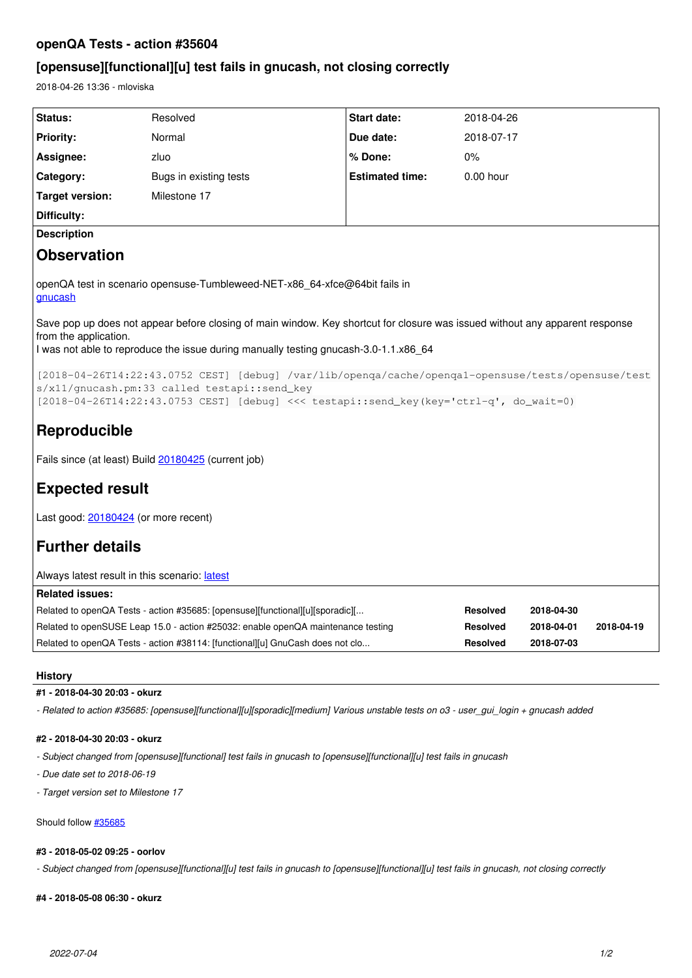# **openQA Tests - action #35604**

# **[opensuse][functional][u] test fails in gnucash, not closing correctly**

2018-04-26 13:36 - mloviska

| Status:                                                                                                                                               | Resolved                                                                               | Start date:            | 2018-04-26  |  |  |
|-------------------------------------------------------------------------------------------------------------------------------------------------------|----------------------------------------------------------------------------------------|------------------------|-------------|--|--|
| <b>Priority:</b>                                                                                                                                      | Normal                                                                                 | Due date:              | 2018-07-17  |  |  |
| Assignee:                                                                                                                                             | zluo                                                                                   | $%$ Done:              | $0\%$       |  |  |
| <b>Category:</b>                                                                                                                                      | Bugs in existing tests                                                                 | <b>Estimated time:</b> | $0.00$ hour |  |  |
| Target version:                                                                                                                                       | Milestone 17                                                                           |                        |             |  |  |
| Difficulty:                                                                                                                                           |                                                                                        |                        |             |  |  |
| <b>Description</b>                                                                                                                                    |                                                                                        |                        |             |  |  |
| <b>Observation</b>                                                                                                                                    |                                                                                        |                        |             |  |  |
| openQA test in scenario opensuse-Tumbleweed-NET-x86 64-xfce@64bit fails in<br>gnucash                                                                 |                                                                                        |                        |             |  |  |
| Save pop up does not appear before closing of main window. Key shortcut for closure was issued without any apparent response<br>from the application. |                                                                                        |                        |             |  |  |
| 1 was not able to reproduce the issue during manually testing gnucash-3.0-1.1.x86 64                                                                  |                                                                                        |                        |             |  |  |
| [2018-04-26T14:22:43.0752 CEST] [debug] /var/lib/openqa/cache/openqal-opensuse/tests/opensuse/test<br>s/x11/qnucash.pm:33 called testapi::send_key    |                                                                                        |                        |             |  |  |
|                                                                                                                                                       | [2018-04-26T14:22:43.0753 CEST] [debug] <<< testapi::send_key(key='ctrl-q', do_wait=0) |                        |             |  |  |

# **Reproducible**

Fails since (at least) Build [20180425](https://openqa.opensuse.org/tests/663737) (current job)

# **Expected result**

Last good: [20180424](https://openqa.opensuse.org/tests/662497) (or more recent)

# **Further details**

| Always latest result in this scenario: latest                                    |                 |            |            |
|----------------------------------------------------------------------------------|-----------------|------------|------------|
| <b>Related issues:</b>                                                           |                 |            |            |
| Related to openQA Tests - action #35685: [opensuse][functional][u][sporadic][    | Resolved        | 2018-04-30 |            |
| Related to openSUSE Leap 15.0 - action #25032: enable openQA maintenance testing | <b>Resolved</b> | 2018-04-01 | 2018-04-19 |
| Related to openQA Tests - action #38114: [functional][u] GnuCash does not clo    | <b>Resolved</b> | 2018-07-03 |            |

**History**

## **#1 - 2018-04-30 20:03 - okurz**

*- Related to action #35685: [opensuse][functional][u][sporadic][medium] Various unstable tests on o3 - user\_gui\_login + gnucash added*

## **#2 - 2018-04-30 20:03 - okurz**

*- Subject changed from [opensuse][functional] test fails in gnucash to [opensuse][functional][u] test fails in gnucash*

*- Due date set to 2018-06-19*

*- Target version set to Milestone 17*

Should follow [#35685](https://progress.opensuse.org/issues/35685)

## **#3 - 2018-05-02 09:25 - oorlov**

*- Subject changed from [opensuse][functional][u] test fails in gnucash to [opensuse][functional][u] test fails in gnucash, not closing correctly*

# **#4 - 2018-05-08 06:30 - okurz**